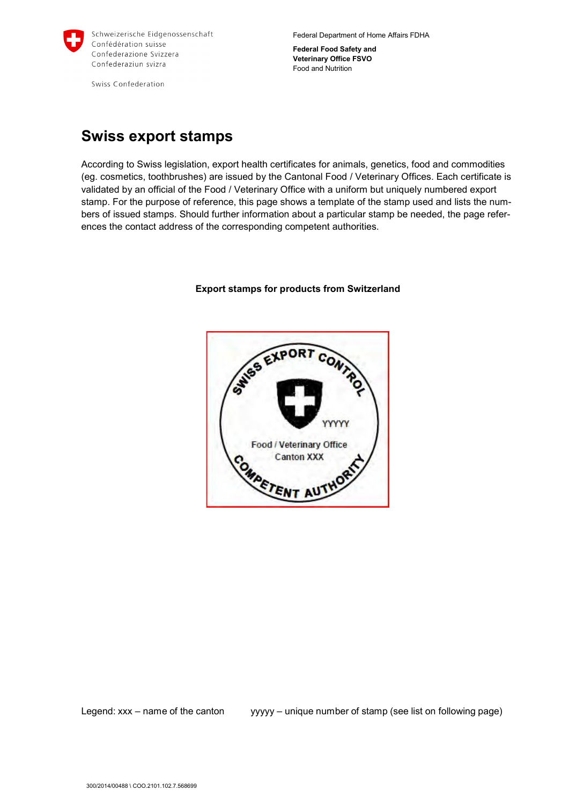

Federal Department of Home Affairs FDHA

**Federal Food Safety and Veterinary Office FSVO** Food and Nutrition

Swiss Confederation

## **Swiss export stamps**

According to Swiss legislation, export health certificates for animals, genetics, food and commodities (eg. cosmetics, toothbrushes) are issued by the Cantonal Food / Veterinary Offices. Each certificate is validated by an official of the Food / Veterinary Office with a uniform but uniquely numbered export stamp. For the purpose of reference, this page shows a template of the stamp used and lists the numbers of issued stamps. Should further information about a particular stamp be needed, the page references the contact address of the corresponding competent authorities.



## **Export stamps for products from Switzerland**

Legend: xxx – name of the canton yyyyy – unique number of stamp (see list on following page)